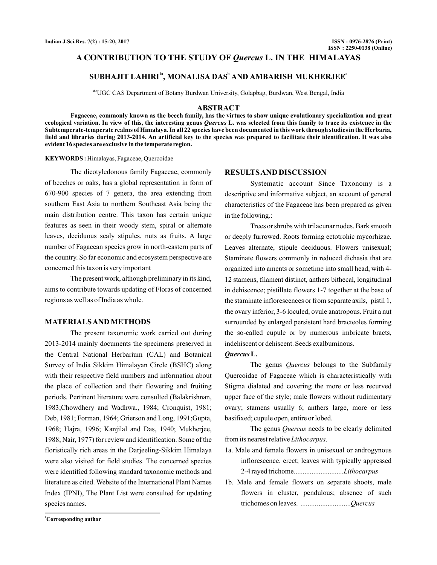# A CONTRIBUTION TO THE STUDY OF *Quercus* L. IN THE HIMALAYAS

# **SUBHAJIT LAHIRI , MONALISA DAS AND AMBARISH MUKHERJEE 1a <sup>b</sup> <sup>c</sup>**

abcUGC CAS Department of Botany Burdwan University, Golapbag, Burdwan, West Bengal, India

### **ABSTRACT**

**Fagaceae, commonly known as the beech family, has the virtues to show unique evolutionary specialization and great** ecological variation. In view of this, the interesting genus *Quercus* L. was selected from this family to trace its existence in the **Subtemperate-temperate realms of Himalaya. In all 22 species have been documented in this work through studies in the Herbaria, field and libraries during 2013-2014. An artificial key to the species was prepared to facilitate their identification. It was also evident 16 species are exclusive in the temperate region.**

#### Himalayas, Fagaceae, Quercoidae **KEYWORDS :**

The dicotyledonous family Fagaceae, commonly of beeches or oaks, has a global representation in form of 670-900 species of 7 genera, the area extending from southern East Asia to northern Southeast Asia being the main distribution centre. This taxon has certain unique features as seen in their woody stem, spiral or alternate leaves, deciduous scaly stipules, nuts as fruits. A large number of Fagacean species grow in north-eastern parts of the country. So far economic and ecosystem perspective are concerned this taxon is very important

The present work, although preliminary in its kind, aims to contribute towards updating of Floras of concerned regions as well as of India as whole.

### **MATERIALSANDMETHODS**

The present taxonomic work carried out during 2013-2014 mainly documents the specimens preserved in the Central National Herbarium (CAL) and Botanical Survey of India Sikkim Himalayan Circle (BSHC) along with their respective field numbers and information about the place of collection and their flowering and fruiting periods. Pertinent literature were consulted (Balakrishnan, 1983;Chowdhery and Wadhwa., 1984; Cronquist, 1981; Deb, 1981; Forman, 1964; Grierson and Long, 1991;Gupta, 1968; Hajra, 1996; Kanjilal and Das, 1940; Mukherjee, 1988; Nair, 1977) for review and identification. Some of the floristically rich areas in the Darjeeling-Sikkim Himalaya were also visited for field studies. The concerned species were identified following standard taxonomic methods and literature as cited. Website of the International Plant Names Index (IPNI), The Plant List were consulted for updating species names.

# **RESULTSAND DISCUSSION**

Systematic account Since Taxonomy is a descriptive and informative subject, an account of general characteristics of the Fagaceae has been prepared as given in the following.:

Trees or shrubs with trilacunar nodes. Bark smooth or deeply furrowed. Roots forming ectotrohic mycorhizae. Leaves alternate, stipule deciduous. Flowers unisexual; Staminate flowers commonly in reduced dichasia that are organized into aments or sometime into small head, with 4- 12 stamens, filament distinct, anthers bithecal, longitudinal in dehiscence; pistillate flowers 1-7 together at the base of the staminate inflorescences or from separate axils, pistil 1, the ovary inferior, 3-6 loculed, ovule anatropous. Fruit a nut surrounded by enlarged persistent hard bracteoles forming the so-called cupule or by numerous imbricate bracts, indehiscent or dehiscent. Seeds exalbuminous.

### *Quercus***L.**

The genus *Quercus* belongs to the Subfamily Quercoidae of Fagaceae which is characteristically with Stigma dialated and covering the more or less recurved upper face of the style; male flowers without rudimentary ovary; stamens usually 6; anthers large, more or less basifixed; cupule open, entire or lobed.

The genus *Quercus* needs to be clearly delimited from its nearest relative Lithocarpus.

- 1a. Male and female flowers in unisexual or androgynous inflorescence, erect; leaves with typically appressed 2-4 rayed trichome............................ *Lithocarpus*
- 1b. Male and female flowers on separate shoots, male flowers in cluster, pendulous; absence of such trichomes on leaves. ................... *......... Quercus*

**<sup>1</sup>Corresponding author**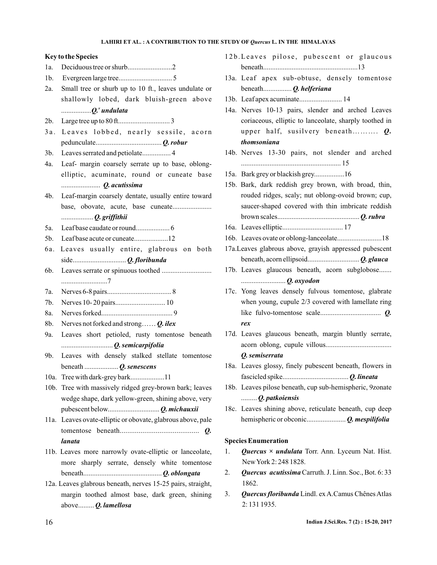#### **Key to the Species**

- 1a. Deciduous tree or shurb.........................2
- 1b. Evergreen large tree.............................. 5
- 2a. Small tree or shurb up to 10 ft., leaves undulate or shallowly lobed, dark bluish-green above ..................Q.<sup>x</sup>undulata
- 2b. Large tree up to 80 ft............................. 3
- 3a. Leaves lobbed, nearly sessile, acorn pedunculate..................................... *Q. robur*
- 3b. Leaves serrated and petiolate................ 4
- 4a. Leaf- margin coarsely serrate up to base, oblongelliptic, acuminate, round or cuneate base ...................... *Q. acutissima*
- 4b. Leaf-margin coarsely dentate, usually entire toward base, obovate, acute, base cuneate...................... .................. *Q. griffithii*
- 5a. Leaf base caudate or round................... 6
- 5b. Leaf base acute or cuneate...................12
- 6a. Leaves usually entire, glabrous on both side.............................. *Q. floribunda*
- 6b. Leaves serrate or spinuous toothed ............................ ..........................7
- 7a. Nerves 6-8 pairs.................................... 8
- 7b. Nerves 10- 20 pairs............................ 10
- 8a. Nerves forked........................................ 9
- 8b. Nerves not forked and strong…… *Q. ilex*
- 9a. Leaves short petioled, rusty tomentose beneath ............................. *Q. semicarpifolia*
- 9b. Leaves with densely stalked stellate tomentose beneath ................... *Q. senescens*
- 10a. Tree with dark-grey bark...................11
- 10b. Tree with massively ridged grey-brown bark; leaves wedge shape, dark yellow-green, shining above, very pubescent below............................. *Q. michauxii*
- 11a. Leaves ovate-elliptic or obovate, glabrous above, pale tomentose beneath.......................................... *Q. lanata*
- 11b. Leaves more narrowly ovate-elliptic or lanceolate, more sharply serrate, densely white tomentose beneath............................................ *Q. oblongata*
- 12a. Leaves glabrous beneath, nerves 15-25 pairs, straight, margin toothed almost base, dark green, shining above......... *Q. lamellosa*
- 12b. Leaves pilose, pubescent or glaucous beneath.....................................................13
- 13a. Leaf apex sub-obtuse, densely tomentose beneath................ *Q. helferiana*
- 13b. Leaf apex acuminate........................ 14
- 14a. Nerves 10-13 pairs, slender and arched Leaves coriaceous, elliptic to lanceolate, sharply toothed in upper half, susilvery beneath.......... *Q*. *thomsoniana*
- 14b. Nerves 13-30 pairs, not slender and arched ........................................................ 15
- 15a. Bark grey or blackish grey.................16
- 15b. Bark, dark reddish grey brown, with broad, thin, rouded ridges, scaly; nut oblong-ovoid brown; cup, saucer-shaped covered with thin imbricate reddish brown scales.............................................. *Q. rubra*
- 16a. Leaves elliptic.................................. 17
- 16b. Leaves ovate or oblong-lanceolate.........................18
- 17a.Leaves glabrous above, grayish appressed pubescent beneath, acorn ellipsoid............................. *Q. glauca*
- 17b. Leaves glaucous beneath, acorn subglobose....... ......................... *Q. oxyodon*
- 17c. Yong leaves densely fulvous tomentose, glabrate when young, cupule 2/3 covered with lamellate ring like fulvo-tomentose scale.................................. *Q. rex*
- 17d. Leaves glaucous beneath, margin bluntly serrate, acorn oblong, cupule villous..................................... *Q. semiserrata*
- 18a. Leaves glossy, finely pubescent beneath, flowers in fascicled spike..................................... *Q. lineata*
- 18b. Leaves pilose beneath, cup sub-hemispheric, 9zonate ......... *Q. patkoiensis*
- 18c. Leaves shining above, reticulate beneath, cup deep hemispheric or obconic...................... *Q. mespilifolia*

#### **Species Enumeration**

- 1. *Quercus × undulata* Torr. Ann. Lyceum Nat. Hist. NewYork 2: 248 1828.
- 2. Quercus acutissima Carruth. J. Linn. Soc., Bot. 6:33 1862.
- 3. Quercus floribunda Lindl. ex A.Camus Chênes Atlas 2: 131 1935.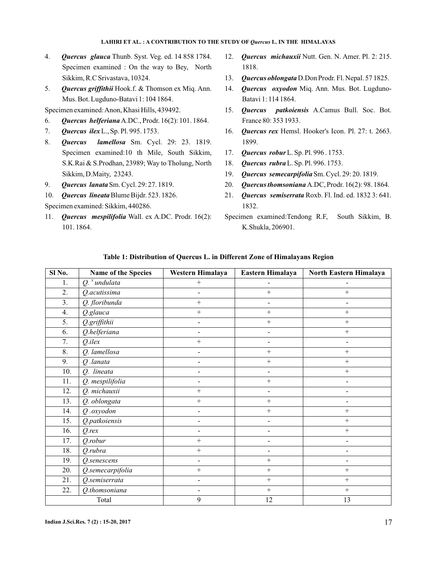- 4. **Quercus glauca** Thunb. Syst. Veg. ed. 14 858 1784. Specimen examined : On the way to Bey, North Sikkim, R.C Srivastava, 10324.
- 5. Quercus griffithii Hook.f. & Thomson ex Miq. Ann. Mus. Bot. Lugduno-Batavi 1: 104 1864.
- Specimen examined:Anon, Khasi Hills, 439492.
- 6. **Quercus helferiana** A.DC., Prodr. 16(2): 101. 1864.
- 7. Quercus ilex L., Sp. Pl. 995. 1753.
- 8. **Quercus lamellosa** Sm. Cycl. 29: 23. 1819. Specimen examined:10 th Mile, South Sikkim, S.K.Rai & S.Prodhan, 23989; Way to Tholung, North Sikkim, D.Maity, 23243.
- 9. **Quercus lanata** Sm. Cycl. 29: 27. 1819.
- 10. Quercus lineata Blume Bijdr. 523. 1826.

Specimen examined: Sikkim, 440286.

11. Quercus mespilifolia Wall. ex A.DC. Prodr. 16(2): 101. 1864.

- 12. Quercus michauxii Nutt. Gen. N. Amer. Pl. 2: 215. 1818.
- 13. Quercus oblongata D.Don Prodr. Fl. Nepal. 57 1825.
- 14. Quercus oxyodon Miq. Ann. Mus. Bot. Lugduno-Batavi 1: 114 1864.
- 15. Quercus patkoiensis A.Camus Bull. Soc. Bot. France 80: 353 1933.
- 16. *Quercus rex* Hemsl. Hooker's Icon. Pl. 27: t. 2663. 1899.
- 17. Quercus robur L. Sp. Pl. 996. 1753.
- 18. *Quercus rubra* L. Sp. Pl. 996. 1753.
- 19. Quercus semecarpifolia Sm. Cycl. 29: 20. 1819.
- 20. Quercus thomsoniana A.DC, Prodr. 16(2): 98. 1864.
- 21. Quercus semiserrata Roxb. Fl. Ind. ed. 1832 3: 641. 1832.
- Specimen examined:Tendong R.F, South Sikkim, B. K.Shukla, 206901.

| $\overline{SI}$ No. | Name of the Species | Western Himalaya         | Eastern Himalaya             | North Eastern Himalaya   |  |  |
|---------------------|---------------------|--------------------------|------------------------------|--------------------------|--|--|
| 1.                  | $Q$ . $^x$ undulata | $^{+}$                   | L,                           |                          |  |  |
| 2.                  | Q.acutissima        | $\blacksquare$           | $^{+}$                       | $+$                      |  |  |
| 3.                  | Q. floribunda       | $^{+}$                   | $\overline{\phantom{a}}$     | $\overline{\phantom{0}}$ |  |  |
| 4.                  | Q.glauca            | $+$                      | $^{+}$                       | $^{+}$                   |  |  |
| 5.                  | Q.griffithii        |                          | $^{+}$                       | $+$                      |  |  |
| 6.                  | Q.helferiana        |                          | $\qquad \qquad \blacksquare$ | $+$                      |  |  |
| 7.                  | $Q.$ <i>ilex</i>    | $+$                      | $\overline{\phantom{a}}$     |                          |  |  |
| 8.                  | Q. lamellosa        |                          | $^{+}$                       | $^{+}$                   |  |  |
| 9.                  | $Q$ .lanata         | L,                       | $^{+}$                       | $^{+}$                   |  |  |
| 10.                 | Q. lineata          | $\overline{\phantom{a}}$ | $\blacksquare$               | $\boldsymbol{+}$         |  |  |
| 11.                 | Q. mespilifolia     | $\blacksquare$           | $^{+}$                       | $\blacksquare$           |  |  |
| 12.                 | Q. michauxii        | $^{+}$                   | $\blacksquare$               | $\overline{\phantom{0}}$ |  |  |
| 13.                 | Q. oblongata        | $^+$                     | $\! + \!\!\!\!$              | $\overline{\phantom{0}}$ |  |  |
| 14.                 | $Q$ .oxyodon        | $\blacksquare$           | $\! + \!\!\!\!$              | $^{+}$                   |  |  |
| 15.                 | Q.patkoiensis       | $\blacksquare$           | -                            | $^{+}$                   |  |  |
| 16.                 | $Q$ <i>rex</i>      | $\blacksquare$           | $\blacksquare$               | $^{+}$                   |  |  |
| 17.                 | Q.robur             | $^{+}$                   | $\qquad \qquad \blacksquare$ | $\overline{\phantom{a}}$ |  |  |
| 18.                 | Q.rubra             | $^{+}$                   | $\overline{\phantom{0}}$     | $\overline{\phantom{0}}$ |  |  |
| 19.                 | Q.senescens         | $\blacksquare$           | $\! + \!\!\!\!$              | $\blacksquare$           |  |  |
| 20.                 | Q.semecarpifolia    | $+$                      | $^{+}$                       | $+$                      |  |  |
| 21.                 | Q.semiserrata       | $\blacksquare$           | $\! + \!\!\!\!$              | $\! + \!\!\!\!$          |  |  |
| 22.                 | Q.thomsoniana       |                          | $^{+}$                       | $^{+}$                   |  |  |
|                     | Total               | 9                        | 12                           | 13                       |  |  |
|                     |                     |                          |                              |                          |  |  |

# **Table 1: Distribution of Quercus L. in Different Zone of Himalayans Region**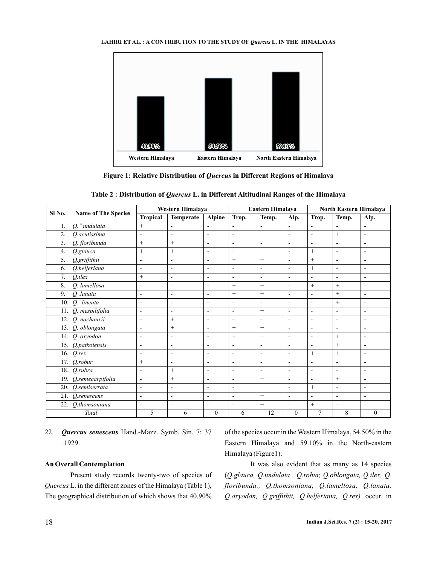

Figure 1: Relative Distribution of *Quercus* in Different Regions of Himalaya

| Sl No.       | <b>Name of The Species</b> | Western Himalaya         |                          | Eastern Himalaya         |                          | <b>North Eastern Himalaya</b> |                          |                          |        |                          |  |
|--------------|----------------------------|--------------------------|--------------------------|--------------------------|--------------------------|-------------------------------|--------------------------|--------------------------|--------|--------------------------|--|
|              |                            | <b>Tropical</b>          | Temperate                | <b>Alpine</b>            | Trop.                    | Temp.                         | Alp.                     | Trop.                    | Temp.  | Alp.                     |  |
| 1.           | $Q^x$ undulata             | $^+$                     |                          |                          |                          |                               | $\overline{\phantom{0}}$ | -                        |        |                          |  |
| 2.           | O.acutissima               | $\overline{\phantom{0}}$ | $\overline{\phantom{0}}$ | $\overline{\phantom{0}}$ | $\overline{\phantom{0}}$ | $^+$                          | $\overline{\phantom{a}}$ | $\overline{a}$           | $^{+}$ | $\overline{\phantom{0}}$ |  |
| 3.           | Q. floribunda              | $^{+}$                   | $^{+}$                   | $\overline{\phantom{0}}$ | $\overline{\phantom{a}}$ |                               | $\overline{\phantom{0}}$ | $\overline{\phantom{0}}$ |        |                          |  |
| 4.           | Q.glauca                   | $^{+}$                   | $^{+}$                   | $\overline{\phantom{0}}$ |                          | $^{+}$                        | $\overline{\phantom{a}}$ | $^{+}$                   |        |                          |  |
| 5.           | Q.griffithii               | $\overline{\phantom{0}}$ |                          | $\overline{\phantom{0}}$ |                          | $^+$                          | $\overline{\phantom{0}}$ | $^{+}$                   |        |                          |  |
| 6.           | Q.helferiana               | $\overline{\phantom{0}}$ | $\overline{\phantom{0}}$ | $\overline{\phantom{0}}$ | $\overline{\phantom{a}}$ | -                             | $\overline{\phantom{a}}$ | $^{+}$                   |        | $\overline{\phantom{0}}$ |  |
| $\mathbf{r}$ | $O.$ <i>ilex</i>           | $^{+}$                   |                          | $\overline{\phantom{0}}$ | $\overline{\phantom{0}}$ |                               | $\overline{\phantom{0}}$ | $\overline{\phantom{0}}$ |        |                          |  |
| 8.           | O. lamellosa               | $\overline{\phantom{a}}$ | -                        | $\overline{\phantom{a}}$ |                          |                               | $\overline{\phantom{a}}$ | $^+$                     |        |                          |  |

9. *Q .lanata*  $\begin{vmatrix} - & 1 \\ - & 1 \end{vmatrix}$  +  $\begin{vmatrix} + & 1 \\ - & 1 \end{vmatrix}$  +  $\begin{vmatrix} + & 1 \\ - & 1 \end{vmatrix}$  +  $\begin{vmatrix} + & 1 \\ - & 1 \end{vmatrix}$  + 10. *Q. lineata*  $\begin{vmatrix} - & 1 \\ - & 1 \end{vmatrix}$  -  $\begin{vmatrix} - & 1 \\ - & 1 \end{vmatrix}$  -  $\begin{vmatrix} - & 1 \\ - & 1 \end{vmatrix}$  -  $\begin{vmatrix} + & 1 \\ - & 1 \end{vmatrix}$ 11. *Q. mespilifolia* - - - - - - + - - - -12. *Q. michauxii* - + - - - - - - - - - - -

14. *Q .oxyodon* - - - + + - - + - 15. *Q.patkoiensis* - - - - - - - - - - + -16. *Q.rex* |- |- |- |- |- |- |- |+ |+ |-17. *Q.robur* + - - - - - - - - - - - - -18. *Q.rubra* - + - - - - - - - 19. *Q.semecarpifolia* - + - - + - + - + + 20. *Q.semiserrata* - - - - - - - + - + - -

22. *Q.thomsoniana* - - - - - - - + - + - - -

*Total* 1 5 6 0 6 12 0 7 8 0

13. *Q. oblongata*  $\begin{vmatrix} - & 1 \\ + & - \end{vmatrix}$  +  $\begin{vmatrix} + & 1 \\ + & - \end{vmatrix}$  +  $\begin{vmatrix} - & 1 \\ - & - \end{vmatrix}$  -

21. *Q.senescens* - - - - - - + - - -

22. Quercus senescens Hand.-Mazz. Symb. Sin. 7: 37 .1929.

### **An Overall Contemplation**

Present study records twenty-two of species of L. in the different zones of the Himalaya (Table 1), *Quercus* The geographical distribution of which shows that 40.90%

of the species occur in the Western Himalaya, 54.50% in the Eastern Himalaya and 59.10% in the North-eastern Himalaya (Figure1).

It was also evident that as many as 14 species ( *Q.glauca, Q.undulata , Q.robur, Q.oblongata, Q.ilex, Q.* Q.oxyodon, Q.griffithii, Q.helferiana, Q.rex) occur in *floribunda., Q.thomsoniana, Q.lamellosa, Q.lanata,*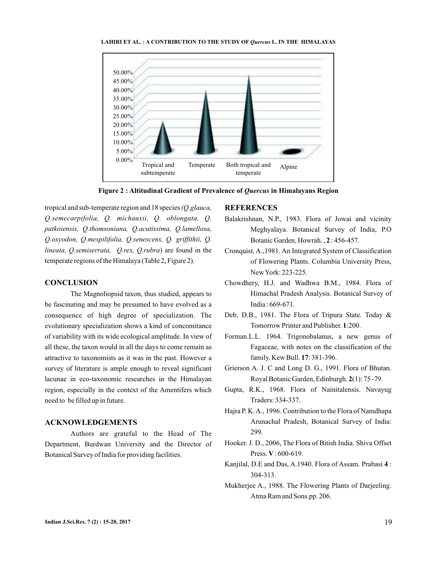

**Figure 2 : Altitudinal Gradient of Prevalence of** *Quercus* **in Himalayans Region** 

tropical and sub-temperate region and 18 species *(Q.glauca,* lineata, Q.semiserrata, Q.rex, Q.rubra) are found in the temperate regions of the Himalaya (Table 2, Figure 2). *Q.semecarpifolia, Q. michauxii, Q. oblongata, Q. patkoiensis, Q.thomsoniana, Q.acutissima, Q.lamellosa, Q.oxyodon, Q.mespilifolia, Q.senescens, Q. griffithii, Q.*

### **CONCLUSION**

The Magnoliopsid taxon, thus studied, appears to be fascinating and may be presumed to have evolved as a consequence of high degree of specialization. The evolutionary specialization shows a kind of concomitance of variability with its wide ecological amplitude. In view of all these, the taxon would in all the days to come remain as attractive to taxonomists as it was in the past. However a survey of literature is ample enough to reveal significant lacunae in eco-taxonomic researches in the Himalayan region, especially in the context of the Amentifers which need to be filled up in future.

## **ACKNOWLEDGEMENTS**

Authors are grateful to the Head of The Department, Burdwan University and the Director of Botanical Survey of India for providing facilities.

# **REFERENCES**

- Balakrishnan, N.P., 1983. Flora of Jowai and vicinity Meghyalaya. Botanical Survey of India, P.O Botanic Garden, Howrah., 2: 456-457.
- Cronquist, A.,1981. An Integrated System of Classification of Flowering Plants. Columbia University Press, NewYork: 223-225.
- Chowdhery, H.J. and Wadhwa B.M., 1984. Flora of Himachal Pradesh Analysis. Botanical Survey of India : 669-671.
- Deb, D.B., 1981. The Flora of Tripura State. Today & Tomorrow Printer and Publisher. 1:200.
- Forman.L.L. 1964. Trigonobalanus, a new genus of Fagaceae, with notes on the classification of the family. Kew Bull. 17: 381-396.
- Grierson A. J. C and Long D. G., 1991. Flora of Bhutan. Royal Botanic Garden, Edinburgh. 2(1): 75-79.
- Gupta, R.K., 1968. Flora of Nainitalensis. Navayug Traders: 334-337.
- Hajra P. K.A., 1996. Contribution to the Flora of Namdhapa Arunachal Pradesh, Botanical Survey of India: 299.
- Hooker. J. D., 2006, The Flora of Bitish India. Shiva Offset Press.  $V: 600-619$ .
- Kanjilal, D.E and Das, A.1940. Flora of Assam. Prabasi 4: 304-313.
- Mukherjee A., 1988. The Flowering Plants of Darjeeling. Atma Ram and Sons.pp. 206.